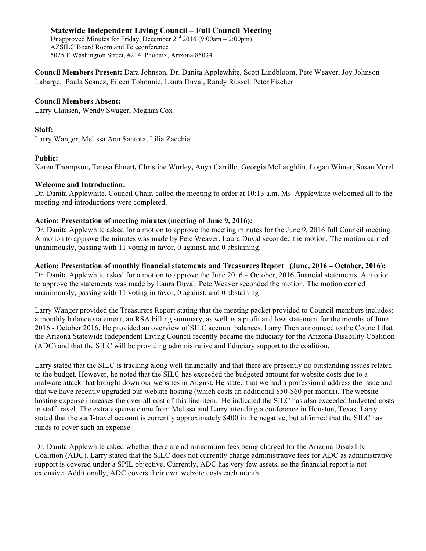Unapproved Minutes for Friday, December  $2<sup>nd</sup> 2016 (9:00am - 2:00pm)$ AZSILC Board Room and Teleconference 5025 E Washington Street, #214. Phoenix, Arizona 85034

**Council Members Present:** Dara Johnson, Dr. Danita Applewhite, Scott Lindbloom, Pete Weaver, Joy Johnson Labarge, Paula Seanez, Eileen Tohonnie, Laura Duval, Randy Russel, Peter Fischer 

## **Council Members Absent:**

Larry Clausen, Wendy Swager, Meghan Cox 

#### **Staff:**

Larry Wanger, Melissa Ann Santora, Lilia Zacchia

## **Public:**

Karen Thompson**,** Teresa Ehnert**,** Christine Worley**,** Anya Carrillo, Georgia McLaughlin, Logan Wimer, Susan Vorel 

#### **Welcome and Introduction:**

Dr. Danita Applewhite, Council Chair, called the meeting to order at 10:13 a.m. Ms. Applewhite welcomed all to the meeting and introductions were completed.

#### **Action; Presentation of meeting minutes (meeting of June 9, 2016):**

Dr. Danita Applewhite asked for a motion to approve the meeting minutes for the June 9, 2016 full Council meeting. A motion to approve the minutes was made by Pete Weaver. Laura Duval seconded the motion. The motion carried unanimously, passing with 11 voting in favor, 0 against, and 0 abstaining.

**Action; Presentation of monthly financial statements and Treasurers Report (June, 2016 – October, 2016):** Dr. Danita Applewhite asked for a motion to approve the June 2016 – October, 2016 financial statements. A motion to approve the statements was made by Laura Duval. Pete Weaver seconded the motion. The motion carried unanimously, passing with 11 voting in favor, 0 against, and 0 abstaining

Larry Wanger provided the Treasurers Report stating that the meeting packet provided to Council members includes: a monthly balance statement, an RSA billing summary, as well as a profit and loss statement for the months of June 2016 - October 2016. He provided an overview of SILC account balances. Larry Then announced to the Council that the Arizona Statewide Independent Living Council recently became the fiduciary for the Arizona Disability Coalition (ADC) and that the SILC will be providing administrative and fiduciary support to the coalition.

Larry stated that the SILC is tracking along well financially and that there are presently no outstanding issues related to the budget. However, he noted that the SILC has exceeded the budgeted amount for website costs due to a malware attack that brought down our websites in August. He stated that we had a professional address the issue and that we have recently upgraded our website hosting (which costs an additional \$50-\$60 per month). The website hosting expense increases the over-all cost of this line-item. He indicated the SILC has also exceeded budgeted costs in staff travel. The extra expense came from Melissa and Larry attending a conference in Houston, Texas. Larry stated that the staff-travel account is currently approximately \$400 in the negative, but affirmed that the SILC has funds to cover such an expense.

Dr. Danita Applewhite asked whether there are administration fees being charged for the Arizona Disability Coalition (ADC). Larry stated that the SILC does not currently charge administrative fees for ADC as administrative support is covered under a SPIL objective. Currently, ADC has very few assets, so the financial report is not extensive. Additionally, ADC covers their own website costs each month.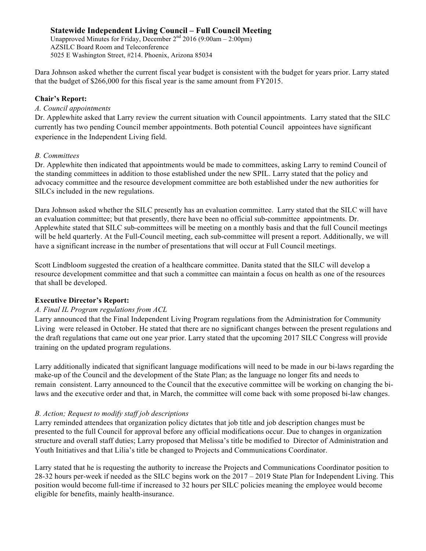Unapproved Minutes for Friday, December  $2<sup>nd</sup> 2016 (9:00am - 2:00pm)$ AZSILC Board Room and Teleconference 5025 E Washington Street, #214. Phoenix, Arizona 85034

Dara Johnson asked whether the current fiscal year budget is consistent with the budget for years prior. Larry stated that the budget of \$266,000 for this fiscal year is the same amount from FY2015.

## **Chair's Report:**

#### *A. Council appointments*

Dr. Applewhite asked that Larry review the current situation with Council appointments. Larry stated that the SILC currently has two pending Council member appointments. Both potential Council appointees have significant experience in the Independent Living field.

#### *B. Committees*

Dr. Applewhite then indicated that appointments would be made to committees, asking Larry to remind Council of the standing committees in addition to those established under the new SPIL. Larry stated that the policy and advocacy committee and the resource development committee are both established under the new authorities for SILCs included in the new regulations.

Dara Johnson asked whether the SILC presently has an evaluation committee. Larry stated that the SILC will have an evaluation committee; but that presently, there have been no official sub-committee appointments. Dr. Applewhite stated that SILC sub-committees will be meeting on a monthly basis and that the full Council meetings will be held quarterly. At the Full-Council meeting, each sub-committee will present a report. Additionally, we will have a significant increase in the number of presentations that will occur at Full Council meetings.

Scott Lindbloom suggested the creation of a healthcare committee. Danita stated that the SILC will develop a resource development committee and that such a committee can maintain a focus on health as one of the resources that shall be developed.

## **Executive Director's Report:**

# *A. Final IL Program regulations from ACL*

Larry announced that the Final Independent Living Program regulations from the Administration for Community Living were released in October. He stated that there are no significant changes between the present regulations and the draft regulations that came out one year prior. Larry stated that the upcoming 2017 SILC Congress will provide training on the updated program regulations.

Larry additionally indicated that significant language modifications will need to be made in our bi-laws regarding the make-up of the Council and the development of the State Plan; as the language no longer fits and needs to remain consistent. Larry announced to the Council that the executive committee will be working on changing the bilaws and the executive order and that, in March, the committee will come back with some proposed bi-law changes.

## *B. Action; Request to modify staff job descriptions*

Larry reminded attendees that organization policy dictates that job title and job description changes must be presented to the full Council for approval before any official modifications occur. Due to changes in organization structure and overall staff duties; Larry proposed that Melissa's title be modified to Director of Administration and Youth Initiatives and that Lilia's title be changed to Projects and Communications Coordinator.

Larry stated that he is requesting the authority to increase the Projects and Communications Coordinator position to 28-32 hours per-week if needed as the SILC begins work on the 2017 – 2019 State Plan for Independent Living. This position would become full-time if increased to 32 hours per SILC policies meaning the employee would become eligible for benefits, mainly health-insurance.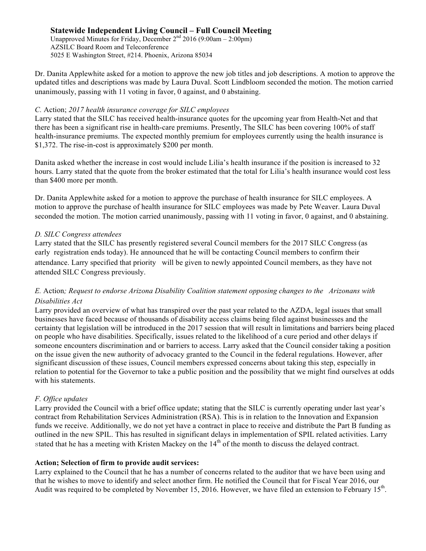Unapproved Minutes for Friday, December  $2<sup>nd</sup> 2016 (9:00am - 2:00pm)$ AZSILC Board Room and Teleconference 5025 E Washington Street, #214. Phoenix, Arizona 85034

Dr. Danita Applewhite asked for a motion to approve the new job titles and job descriptions. A motion to approve the updated titles and descriptions was made by Laura Duval. Scott Lindbloom seconded the motion. The motion carried unanimously, passing with 11 voting in favor, 0 against, and 0 abstaining.

#### *C.* Action; *2017 health insurance coverage for SILC employees*

Larry stated that the SILC has received health-insurance quotes for the upcoming year from Health-Net and that there has been a significant rise in health-care premiums. Presently, The SILC has been covering 100% of staff health-insurance premiums. The expected monthly premium for employees currently using the health insurance is \$1,372. The rise-in-cost is approximately \$200 per month.

Danita asked whether the increase in cost would include Lilia's health insurance if the position is increased to 32 hours. Larry stated that the quote from the broker estimated that the total for Lilia's health insurance would cost less than \$400 more per month.

Dr. Danita Applewhite asked for a motion to approve the purchase of health insurance for SILC employees. A motion to approve the purchase of health insurance for SILC employees was made by Pete Weaver. Laura Duval seconded the motion. The motion carried unanimously, passing with 11 voting in favor, 0 against, and 0 abstaining.

## *D. SILC Congress attendees*

Larry stated that the SILC has presently registered several Council members for the 2017 SILC Congress (as early registration ends today). He announced that he will be contacting Council members to confirm their attendance. Larry specified that priority will be given to newly appointed Council members, as they have not attended SILC Congress previously.

# *E.* Action*; Request to endorse Arizona Disability Coalition statement opposing changes to the Arizonans with Disabilities Act*

Larry provided an overview of what has transpired over the past year related to the AZDA, legal issues that small businesses have faced because of thousands of disability access claims being filed against businesses and the certainty that legislation will be introduced in the 2017 session that will result in limitations and barriers being placed on people who have disabilities. Specifically, issues related to the likelihood of a cure period and other delays if someone encounters discrimination and or barriers to access. Larry asked that the Council consider taking a position on the issue given the new authority of advocacy granted to the Council in the federal regulations. However, after significant discussion of these issues, Council members expressed concerns about taking this step, especially in relation to potential for the Governor to take a public position and the possibility that we might find ourselves at odds with his statements.

## *F. Office updates*

Larry provided the Council with a brief office update; stating that the SILC is currently operating under last year's contract from Rehabilitation Services Administration (RSA). This is in relation to the Innovation and Expansion funds we receive. Additionally, we do not yet have a contract in place to receive and distribute the Part B funding as outlined in the new SPIL. This has resulted in significant delays in implementation of SPIL related activities. Larry stated that he has a meeting with Kristen Mackey on the 14<sup>th</sup> of the month to discuss the delayed contract.

## **Action; Selection of firm to provide audit services:**

Larry explained to the Council that he has a number of concerns related to the auditor that we have been using and that he wishes to move to identify and select another firm. He notified the Council that for Fiscal Year 2016, our Audit was required to be completed by November 15, 2016. However, we have filed an extension to February 15<sup>th</sup>.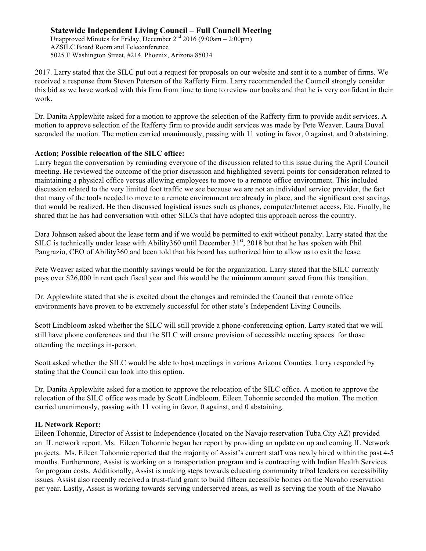Unapproved Minutes for Friday, December  $2<sup>nd</sup>$  2016 (9:00am – 2:00pm) AZSILC Board Room and Teleconference 5025 E Washington Street, #214. Phoenix, Arizona 85034

2017. Larry stated that the SILC put out a request for proposals on our website and sent it to a number of firms. We received a response from Steven Peterson of the Rafferty Firm. Larry recommended the Council strongly consider this bid as we have worked with this firm from time to time to review our books and that he is very confident in their work.

Dr. Danita Applewhite asked for a motion to approve the selection of the Rafferty firm to provide audit services. A motion to approve selection of the Rafferty firm to provide audit services was made by Pete Weaver. Laura Duval seconded the motion. The motion carried unanimously, passing with 11 voting in favor, 0 against, and 0 abstaining.

## **Action; Possible relocation of the SILC office:**

Larry began the conversation by reminding everyone of the discussion related to this issue during the April Council meeting. He reviewed the outcome of the prior discussion and highlighted several points for consideration related to maintaining a physical office versus allowing employees to move to a remote office environment. This included discussion related to the very limited foot traffic we see because we are not an individual service provider, the fact that many of the tools needed to move to a remote environment are already in place, and the significant cost savings that would be realized. He then discussed logistical issues such as phones, computer/Internet access, Etc. Finally, he shared that he has had conversation with other SILCs that have adopted this approach across the country.

Dara Johnson asked about the lease term and if we would be permitted to exit without penalty. Larry stated that the SILC is technically under lease with Ability360 until December  $31<sup>st</sup>$ , 2018 but that he has spoken with Phil Pangrazio, CEO of Ability360 and been told that his board has authorized him to allow us to exit the lease.

Pete Weaver asked what the monthly savings would be for the organization. Larry stated that the SILC currently pays over \$26,000 in rent each fiscal year and this would be the minimum amount saved from this transition.

Dr. Applewhite stated that she is excited about the changes and reminded the Council that remote office environments have proven to be extremely successful for other state's Independent Living Councils.

Scott Lindbloom asked whether the SILC will still provide a phone-conferencing option. Larry stated that we will still have phone conferences and that the SILC will ensure provision of accessible meeting spaces for those attending the meetings in-person.

Scott asked whether the SILC would be able to host meetings in various Arizona Counties. Larry responded by stating that the Council can look into this option.

Dr. Danita Applewhite asked for a motion to approve the relocation of the SILC office. A motion to approve the relocation of the SILC office was made by Scott Lindbloom. Eileen Tohonnie seconded the motion. The motion carried unanimously, passing with 11 voting in favor, 0 against, and 0 abstaining.

## **IL Network Report:**

Eileen Tohonnie, Director of Assist to Independence (located on the Navajo reservation Tuba City AZ) provided an IL network report. Ms. Eileen Tohonnie began her report by providing an update on up and coming IL Network projects. Ms. Eileen Tohonnie reported that the majority of Assist's current staff was newly hired within the past 4-5 months. Furthermore, Assist is working on a transportation program and is contracting with Indian Health Services for program costs. Additionally, Assist is making steps towards educating community tribal leaders on accessibility issues. Assist also recently received a trust-fund grant to build fifteen accessible homes on the Navaho reservation per year. Lastly, Assist is working towards serving underserved areas, as well as serving the youth of the Navaho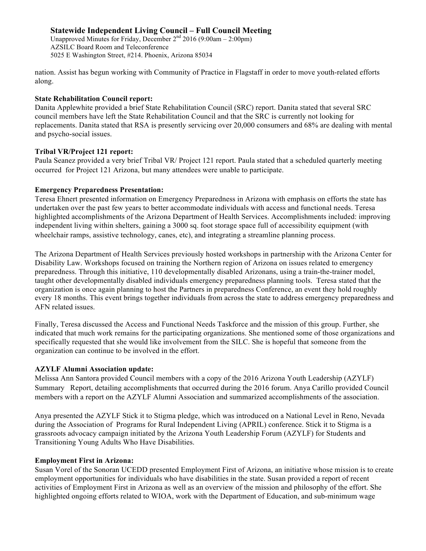Unapproved Minutes for Friday, December  $2<sup>nd</sup>$  2016 (9:00am – 2:00pm) AZSILC Board Room and Teleconference 5025 E Washington Street, #214. Phoenix, Arizona 85034

nation. Assist has begun working with Community of Practice in Flagstaff in order to move youth-related efforts along.

#### **State Rehabilitation Council report:**

Danita Applewhite provided a brief State Rehabilitation Council (SRC) report. Danita stated that several SRC council members have left the State Rehabilitation Council and that the SRC is currently not looking for replacements. Danita stated that RSA is presently servicing over 20,000 consumers and 68% are dealing with mental and psycho-social issues.

## **Tribal VR/Project 121 report:**

Paula Seanez provided a very brief Tribal VR/ Project 121 report. Paula stated that a scheduled quarterly meeting occurred for Project 121 Arizona, but many attendees were unable to participate.

## **Emergency Preparedness Presentation:**

Teresa Ehnert presented information on Emergency Preparedness in Arizona with emphasis on efforts the state has undertaken over the past few years to better accommodate individuals with access and functional needs. Teresa highlighted accomplishments of the Arizona Department of Health Services. Accomplishments included: improving independent living within shelters, gaining a 3000 sq. foot storage space full of accessibility equipment (with wheelchair ramps, assistive technology, canes, etc), and integrating a streamline planning process.

The Arizona Department of Health Services previously hosted workshops in partnership with the Arizona Center for Disability Law. Workshops focused on training the Northern region of Arizona on issues related to emergency preparedness. Through this initiative, 110 developmentally disabled Arizonans, using a train-the-trainer model, taught other developmentally disabled individuals emergency preparedness planning tools. Teresa stated that the organization is once again planning to host the Partners in preparedness Conference, an event they hold roughly every 18 months. This event brings together individuals from across the state to address emergency preparedness and AFN related issues.

Finally, Teresa discussed the Access and Functional Needs Taskforce and the mission of this group. Further, she indicated that much work remains for the participating organizations. She mentioned some of those organizations and specifically requested that she would like involvement from the SILC. She is hopeful that someone from the organization can continue to be involved in the effort.

## **AZYLF Alumni Association update:**

Melissa Ann Santora provided Council members with a copy of the 2016 Arizona Youth Leadership (AZYLF) Summary Report, detailing accomplishments that occurred during the 2016 forum. Anya Carillo provided Council members with a report on the AZYLF Alumni Association and summarized accomplishments of the association.

Anya presented the AZYLF Stick it to Stigma pledge, which was introduced on a National Level in Reno, Nevada during the Association of Programs for Rural Independent Living (APRIL) conference. Stick it to Stigma is a grassroots advocacy campaign initiated by the Arizona Youth Leadership Forum (AZYLF) for Students and Transitioning Young Adults Who Have Disabilities.

#### **Employment First in Arizona:**

Susan Vorel of the Sonoran UCEDD presented Employment First of Arizona, an initiative whose mission is to create employment opportunities for individuals who have disabilities in the state. Susan provided a report of recent activities of Employment First in Arizona as well as an overview of the mission and philosophy of the effort. She highlighted ongoing efforts related to WIOA, work with the Department of Education, and sub-minimum wage